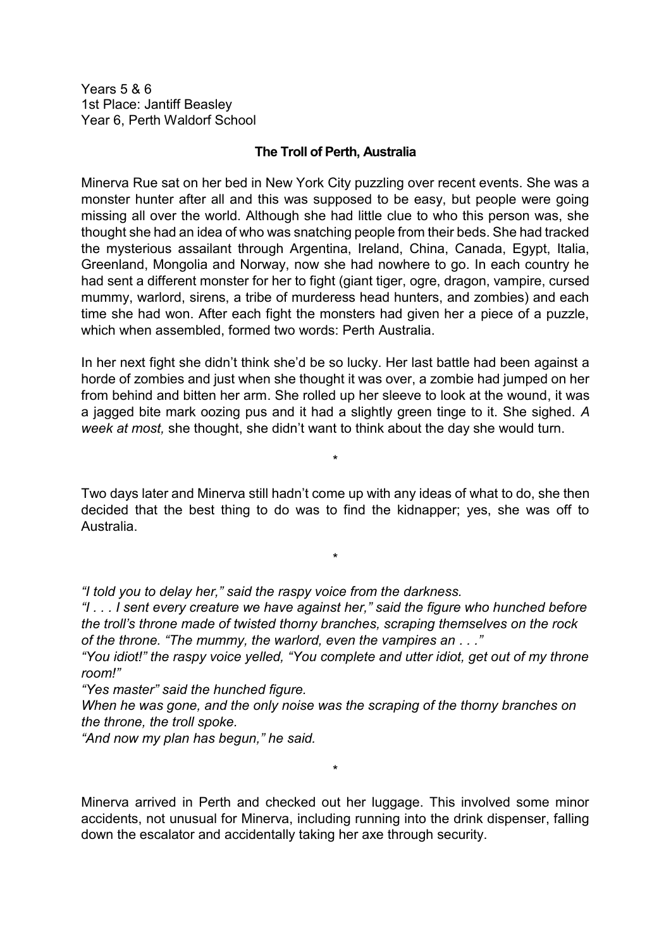Years 5 & 6 1st Place: Jantiff Beasley Year 6, Perth Waldorf School

## **The Troll of Perth, Australia**

Minerva Rue sat on her bed in New York City puzzling over recent events. She was a monster hunter after all and this was supposed to be easy, but people were going missing all over the world. Although she had little clue to who this person was, she thought she had an idea of who was snatching people from their beds. She had tracked the mysterious assailant through Argentina, Ireland, China, Canada, Egypt, Italia, Greenland, Mongolia and Norway, now she had nowhere to go. In each country he had sent a different monster for her to fight (giant tiger, ogre, dragon, vampire, cursed mummy, warlord, sirens, a tribe of murderess head hunters, and zombies) and each time she had won. After each fight the monsters had given her a piece of a puzzle, which when assembled, formed two words: Perth Australia.

In her next fight she didn't think she'd be so lucky. Her last battle had been against a horde of zombies and just when she thought it was over, a zombie had jumped on her from behind and bitten her arm. She rolled up her sleeve to look at the wound, it was a jagged bite mark oozing pus and it had a slightly green tinge to it. She sighed. *A week at most,* she thought, she didn't want to think about the day she would turn.

Two days later and Minerva still hadn't come up with any ideas of what to do, she then decided that the best thing to do was to find the kidnapper; yes, she was off to Australia.

\*

\*

*"I told you to delay her," said the raspy voice from the darkness.*

*"I . . . I sent every creature we have against her," said the figure who hunched before the troll's throne made of twisted thorny branches, scraping themselves on the rock of the throne. "The mummy, the warlord, even the vampires an . . ."*

*"You idiot!" the raspy voice yelled, "You complete and utter idiot, get out of my throne room!"*

*"Yes master" said the hunched figure.* 

*When he was gone, and the only noise was the scraping of the thorny branches on the throne, the troll spoke.*

*"And now my plan has begun," he said.* 

Minerva arrived in Perth and checked out her luggage. This involved some minor accidents, not unusual for Minerva, including running into the drink dispenser, falling down the escalator and accidentally taking her axe through security.

\*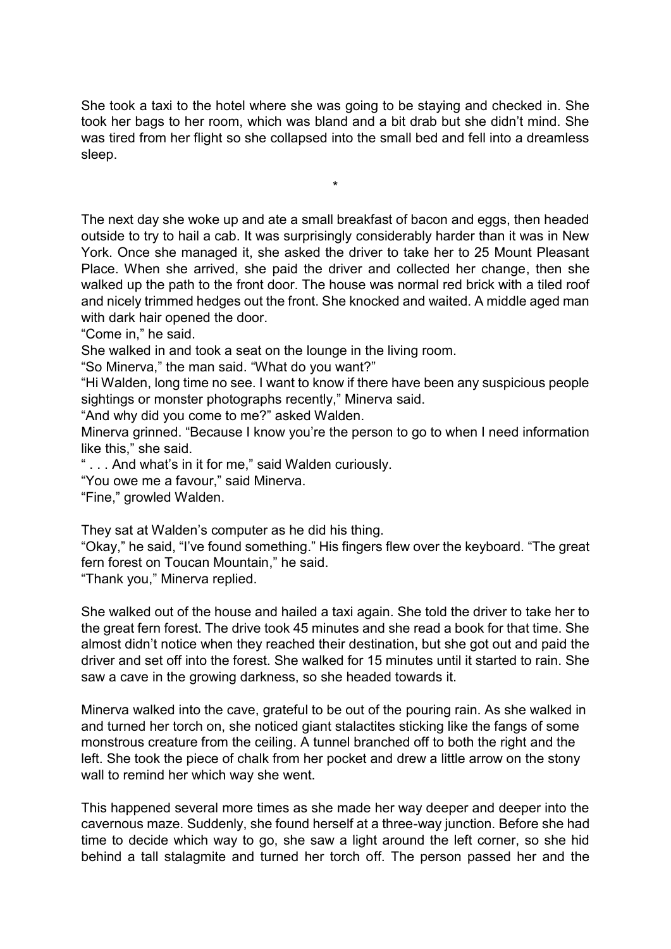She took a taxi to the hotel where she was going to be staying and checked in. She took her bags to her room, which was bland and a bit drab but she didn't mind. She was tired from her flight so she collapsed into the small bed and fell into a dreamless sleep.

\*

The next day she woke up and ate a small breakfast of bacon and eggs, then headed outside to try to hail a cab. It was surprisingly considerably harder than it was in New York. Once she managed it, she asked the driver to take her to 25 Mount Pleasant Place. When she arrived, she paid the driver and collected her change, then she walked up the path to the front door. The house was normal red brick with a tiled roof and nicely trimmed hedges out the front. She knocked and waited. A middle aged man with dark hair opened the door.

"Come in," he said.

She walked in and took a seat on the lounge in the living room.

"So Minerva," the man said. "What do you want?"

"Hi Walden, long time no see. I want to know if there have been any suspicious people sightings or monster photographs recently," Minerva said.

"And why did you come to me?" asked Walden.

Minerva grinned. "Because I know you're the person to go to when I need information like this," she said.

" . . . And what's in it for me," said Walden curiously.

"You owe me a favour," said Minerva.

"Fine," growled Walden.

They sat at Walden's computer as he did his thing.

"Okay," he said, "I've found something." His fingers flew over the keyboard. "The great fern forest on Toucan Mountain," he said.

"Thank you," Minerva replied.

She walked out of the house and hailed a taxi again. She told the driver to take her to the great fern forest. The drive took 45 minutes and she read a book for that time. She almost didn't notice when they reached their destination, but she got out and paid the driver and set off into the forest. She walked for 15 minutes until it started to rain. She saw a cave in the growing darkness, so she headed towards it.

Minerva walked into the cave, grateful to be out of the pouring rain. As she walked in and turned her torch on, she noticed giant stalactites sticking like the fangs of some monstrous creature from the ceiling. A tunnel branched off to both the right and the left. She took the piece of chalk from her pocket and drew a little arrow on the stony wall to remind her which way she went.

This happened several more times as she made her way deeper and deeper into the cavernous maze. Suddenly, she found herself at a three-way junction. Before she had time to decide which way to go, she saw a light around the left corner, so she hid behind a tall stalagmite and turned her torch off. The person passed her and the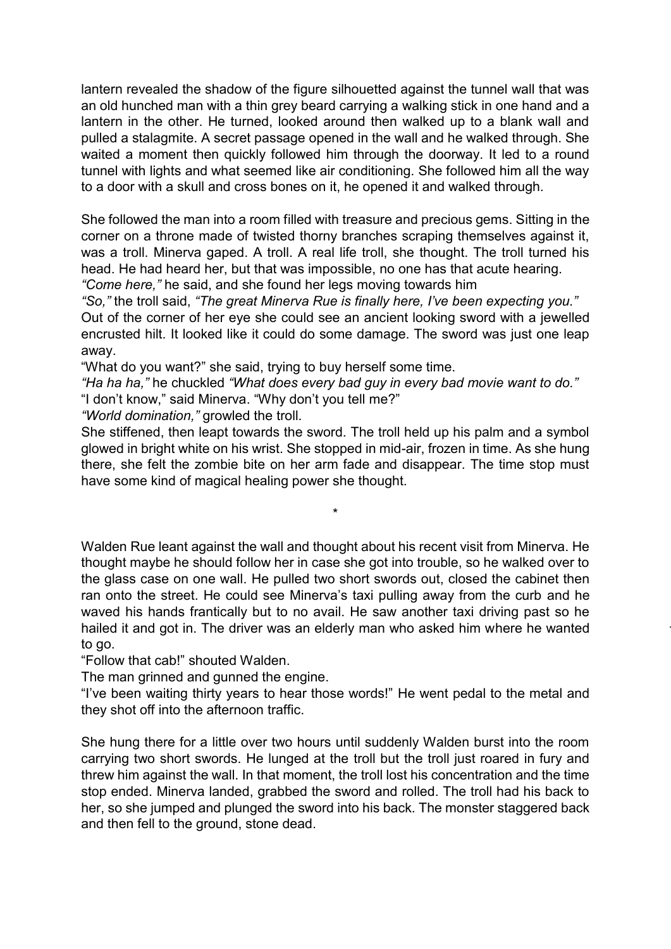lantern revealed the shadow of the figure silhouetted against the tunnel wall that was an old hunched man with a thin grey beard carrying a walking stick in one hand and a lantern in the other. He turned, looked around then walked up to a blank wall and pulled a stalagmite. A secret passage opened in the wall and he walked through. She waited a moment then quickly followed him through the doorway. It led to a round tunnel with lights and what seemed like air conditioning. She followed him all the way to a door with a skull and cross bones on it, he opened it and walked through.

She followed the man into a room filled with treasure and precious gems. Sitting in the corner on a throne made of twisted thorny branches scraping themselves against it, was a troll. Minerva gaped. A troll. A real life troll, she thought. The troll turned his head. He had heard her, but that was impossible, no one has that acute hearing. *"Come here,"* he said, and she found her legs moving towards him

*"So,"* the troll said, *"The great Minerva Rue is finally here, I've been expecting you."* Out of the corner of her eye she could see an ancient looking sword with a jewelled encrusted hilt. It looked like it could do some damage. The sword was just one leap away.

"What do you want?" she said, trying to buy herself some time.

*"Ha ha ha,"* he chuckled *"What does every bad guy in every bad movie want to do."*  "I don't know," said Minerva. "Why don't you tell me?"

*"World domination,"* growled the troll.

She stiffened, then leapt towards the sword. The troll held up his palm and a symbol glowed in bright white on his wrist. She stopped in mid-air, frozen in time. As she hung there, she felt the zombie bite on her arm fade and disappear. The time stop must have some kind of magical healing power she thought.

\*

Walden Rue leant against the wall and thought about his recent visit from Minerva. He thought maybe he should follow her in case she got into trouble, so he walked over to the glass case on one wall. He pulled two short swords out, closed the cabinet then ran onto the street. He could see Minerva's taxi pulling away from the curb and he waved his hands frantically but to no avail. He saw another taxi driving past so he hailed it and got in. The driver was an elderly man who asked him where he wanted to go.

"Follow that cab!" shouted Walden.

The man grinned and gunned the engine.

"I've been waiting thirty years to hear those words!" He went pedal to the metal and they shot off into the afternoon traffic.

She hung there for a little over two hours until suddenly Walden burst into the room carrying two short swords. He lunged at the troll but the troll just roared in fury and threw him against the wall. In that moment, the troll lost his concentration and the time stop ended. Minerva landed, grabbed the sword and rolled. The troll had his back to her, so she jumped and plunged the sword into his back. The monster staggered back and then fell to the ground, stone dead.